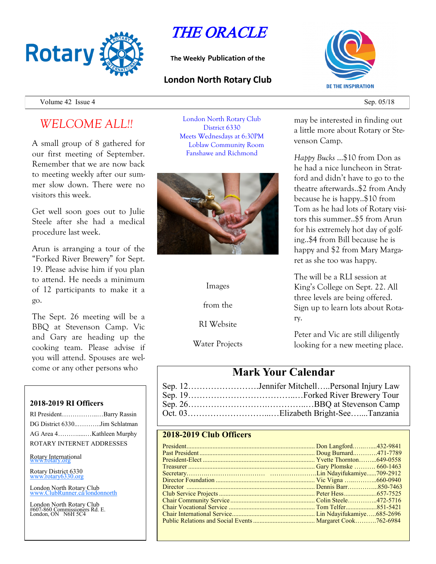

# THE ORACLE

**The Weekly Publication of the**

### **London North Rotary Club**



Volume  $42$  Issue  $4$  Sep. 05/18

## *WELCOME ALL!!*

A small group of 8 gathered for our first meeting of September. Remember that we are now back to meeting weekly after our summer slow down. There were no visitors this week.

Get well soon goes out to Julie Steele after she had a medical procedure last week.

Arun is arranging a tour of the "Forked River Brewery" for Sept. 19. Please advise him if you plan to attend. He needs a minimum of 12 participants to make it a go.

The Sept. 26 meeting will be a BBQ at Stevenson Camp. Vic and Gary are heading up the cooking team. Please advise if you will attend. Spouses are welcome or any other persons who

#### **2018-2019 RI Officers**

| RI PresidentBarry Rassin      |  |
|-------------------------------|--|
| DG District 6330Jim Schlatman |  |
| AG Area 4Kathleen Murphy      |  |
| ROTARY INTERNET ADDRESSES     |  |

Rotary International

Rotary District 6330 [www.rotary6330.org](http://www.rotary6330.org/)

London North Rotary Club IubRunner.ca/londonnorth

London North Rotary Club #607-860 Commissioners Rd. E. London, ON N6H 5C4

London North Rotary Club District 6330 Meets Wednesdays at 6:30PM Loblaw Community Room Fanshawe and Richmond



Images

from the

RI Website

Water Projects

may be interested in finding out a little more about Rotary or Stevenson Camp.

*Happy Bucks* …\$10 from Don as he had a nice luncheon in Stratford and didn't have to go to the theatre afterwards..\$2 from Andy because he is happy..\$10 from Tom as he had lots of Rotary visitors this summer..\$5 from Arun for his extremely hot day of golfing..\$4 from Bill because he is happy and \$2 from Mary Margaret as she too was happy.

The will be a RLI session at King's College on Sept. 22. All three levels are being offered. Sign up to learn lots about Rotary.

Peter and Vic are still diligently looking for a new meeting place.

### **Mark Your Calendar**

| Sep. 12Jennifer MitchellPersonal Injury Law |
|---------------------------------------------|
|                                             |
|                                             |
|                                             |

### **2018-2019 Club Officers**